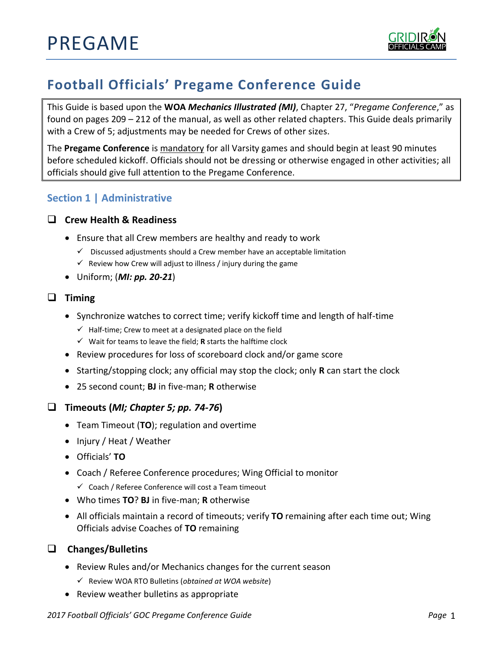

# **Football Officials' Pregame Conference Guide**

This Guide is based upon the **WOA** *Mechanics Illustrated (MI)*, Chapter 27, "*Pregame Conference*," as found on pages 209 – 212 of the manual, as well as other related chapters. This Guide deals primarily with a Crew of 5; adjustments may be needed for Crews of other sizes.

The **Pregame Conference** is mandatory for all Varsity games and should begin at least 90 minutes before scheduled kickoff. Officials should not be dressing or otherwise engaged in other activities; all officials should give full attention to the Pregame Conference.

# **Section 1 | Administrative**

#### **Crew Health & Readiness**

- Ensure that all Crew members are healthy and ready to work
	- ✓ Discussed adjustments should a Crew member have an acceptable limitation
	- $\checkmark$  Review how Crew will adjust to illness / injury during the game
- Uniform; (*MI: pp. 20-21*)

#### **Timing**

- Synchronize watches to correct time; verify kickoff time and length of half-time
	- $\checkmark$  Half-time; Crew to meet at a designated place on the field
	- ✓ Wait for teams to leave the field; **R** starts the halftime clock
- Review procedures for loss of scoreboard clock and/or game score
- Starting/stopping clock; any official may stop the clock; only **R** can start the clock
- 25 second count; **BJ** in five-man; **R** otherwise

## **Timeouts (***MI; Chapter 5; pp. 74-76***)**

- Team Timeout (**TO**); regulation and overtime
- Injury / Heat / Weather
- Officials' **TO**
- Coach / Referee Conference procedures; Wing Official to monitor
	- ✓ Coach / Referee Conference will cost a Team timeout
- Who times **TO**? **BJ** in five-man; **R** otherwise
- All officials maintain a record of timeouts; verify **TO** remaining after each time out; Wing Officials advise Coaches of **TO** remaining

#### **Changes/Bulletins**

- Review Rules and/or Mechanics changes for the current season
	- ✓ Review WOA RTO Bulletins (*obtained at WOA website*)
- Review weather bulletins as appropriate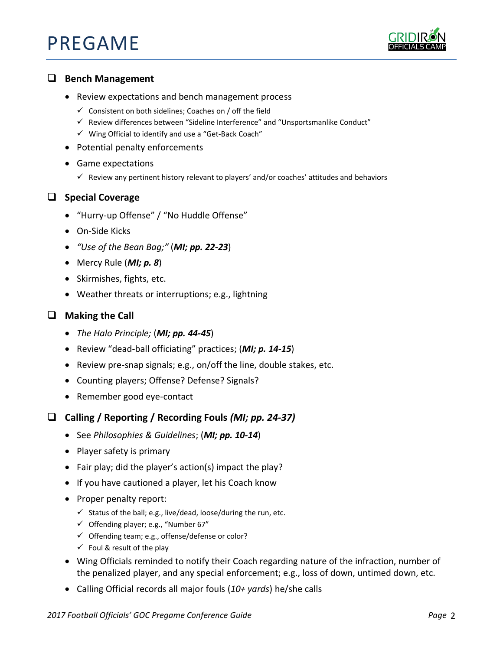# PREGAME



#### **Bench Management**

- Review expectations and bench management process
	- $\checkmark$  Consistent on both sidelines; Coaches on / off the field
	- ✓ Review differences between "Sideline Interference" and "Unsportsmanlike Conduct"
	- ✓ Wing Official to identify and use a "Get-Back Coach"
- Potential penalty enforcements
- Game expectations
	- $\checkmark$  Review any pertinent history relevant to players' and/or coaches' attitudes and behaviors

## **Special Coverage**

- "Hurry-up Offense" / "No Huddle Offense"
- On-Side Kicks
- *"Use of the Bean Bag;"* (*MI; pp. 22-23*)
- Mercy Rule (*MI; p. 8*)
- Skirmishes, fights, etc.
- Weather threats or interruptions; e.g., lightning

# **Making the Call**

- *The Halo Principle;* (*MI; pp. 44-45*)
- Review "dead-ball officiating" practices; (*MI; p. 14-15*)
- Review pre-snap signals; e.g., on/off the line, double stakes, etc.
- Counting players; Offense? Defense? Signals?
- Remember good eye-contact
- **Calling / Reporting / Recording Fouls** *(MI; pp. 24-37)*
	- See *Philosophies & Guidelines*; (*MI; pp. 10-14*)
	- Player safety is primary
	- Fair play; did the player's action(s) impact the play?
	- If you have cautioned a player, let his Coach know
	- Proper penalty report:
		- $\checkmark$  Status of the ball; e.g., live/dead, loose/during the run, etc.
		- ✓ Offending player; e.g., "Number 67"
		- ✓ Offending team; e.g., offense/defense or color?
		- $\checkmark$  Foul & result of the play
	- Wing Officials reminded to notify their Coach regarding nature of the infraction, number of the penalized player, and any special enforcement; e.g., loss of down, untimed down, etc.
	- Calling Official records all major fouls (*10+ yards*) he/she calls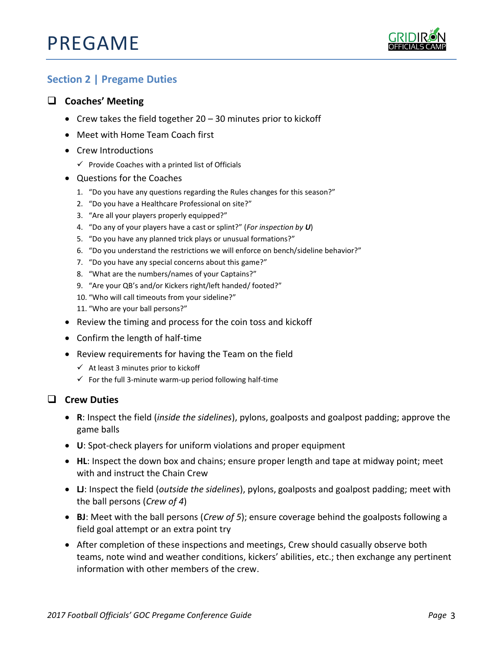# PREGAME



# **Section 2 | Pregame Duties**

# **Coaches' Meeting**

- Crew takes the field together 20 30 minutes prior to kickoff
- Meet with Home Team Coach first
- Crew Introductions
	- $\checkmark$  Provide Coaches with a printed list of Officials
- Questions for the Coaches
	- 1. "Do you have any questions regarding the Rules changes for this season?"
	- 2. "Do you have a Healthcare Professional on site?"
	- 3. "Are all your players properly equipped?"
	- 4. "Do any of your players have a cast or splint?" (*For inspection by U*)
	- 5. "Do you have any planned trick plays or unusual formations?"
	- 6. "Do you understand the restrictions we will enforce on bench/sideline behavior?"
	- 7. "Do you have any special concerns about this game?"
	- 8. "What are the numbers/names of your Captains?"
	- 9. "Are your QB's and/or Kickers right/left handed/ footed?"
	- 10. "Who will call timeouts from your sideline?"
	- 11. "Who are your ball persons?"
- Review the timing and process for the coin toss and kickoff
- Confirm the length of half-time
- Review requirements for having the Team on the field
	- $\checkmark$  At least 3 minutes prior to kickoff
	- $\checkmark$  For the full 3-minute warm-up period following half-time

#### **Crew Duties**

- **R**: Inspect the field (*inside the sidelines*), pylons, goalposts and goalpost padding; approve the game balls
- **U**: Spot-check players for uniform violations and proper equipment
- **HL**: Inspect the down box and chains; ensure proper length and tape at midway point; meet with and instruct the Chain Crew
- **LJ**: Inspect the field (*outside the sidelines*), pylons, goalposts and goalpost padding; meet with the ball persons (*Crew of 4*)
- **BJ**: Meet with the ball persons (*Crew of 5*); ensure coverage behind the goalposts following a field goal attempt or an extra point try
- After completion of these inspections and meetings, Crew should casually observe both teams, note wind and weather conditions, kickers' abilities, etc.; then exchange any pertinent information with other members of the crew.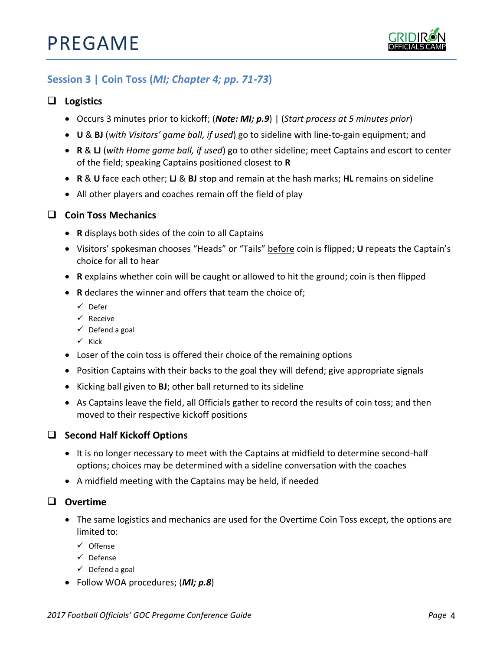

# **Session 3 | Coin Toss (***MI; Chapter 4; pp. 71-73***)**

#### **Logistics**

- Occurs 3 minutes prior to kickoff; (*Note: MI; p.9*) | (*Start process at 5 minutes prior*)
- **U** & **BJ** (*with Visitors' game ball, if used*) go to sideline with line-to-gain equipment; and
- **R** & **LJ** (*with Home game ball, if used*) go to other sideline; meet Captains and escort to center of the field; speaking Captains positioned closest to **R**
- **R** & **U** face each other; **LJ** & **BJ** stop and remain at the hash marks; **HL** remains on sideline
- All other players and coaches remain off the field of play

#### **Coin Toss Mechanics**

- **R** displays both sides of the coin to all Captains
- Visitors' spokesman chooses "Heads" or "Tails" before coin is flipped; **U** repeats the Captain's choice for all to hear
- **R** explains whether coin will be caught or allowed to hit the ground; coin is then flipped
- **R** declares the winner and offers that team the choice of;
	- ✓ Defer
	- ✓ Receive
	- $\checkmark$  Defend a goal
	- ✓ Kick
- Loser of the coin toss is offered their choice of the remaining options
- Position Captains with their backs to the goal they will defend; give appropriate signals
- Kicking ball given to **BJ**; other ball returned to its sideline
- As Captains leave the field, all Officials gather to record the results of coin toss; and then moved to their respective kickoff positions

#### **Second Half Kickoff Options**

- It is no longer necessary to meet with the Captains at midfield to determine second-half options; choices may be determined with a sideline conversation with the coaches
- A midfield meeting with the Captains may be held, if needed

#### **Overtime**

- The same logistics and mechanics are used for the Overtime Coin Toss except, the options are limited to:
	- ✓ Offense
	- ✓ Defense
	- $\checkmark$  Defend a goal
- Follow WOA procedures; (*MI; p.8*)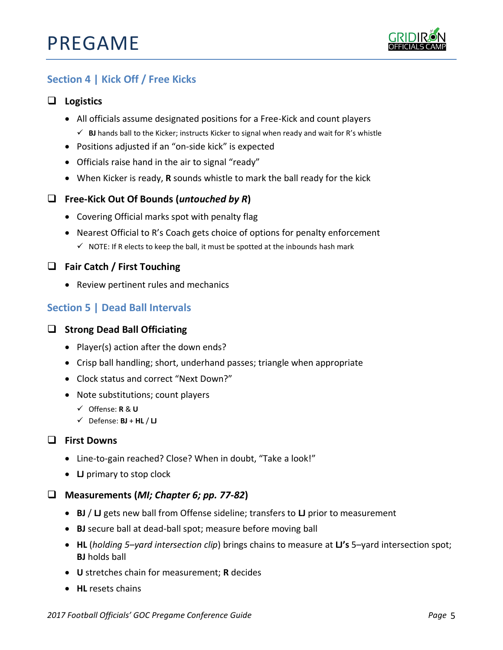

# **Section 4 | Kick Off / Free Kicks**

# **Logistics**

- All officials assume designated positions for a Free-Kick and count players
	- ✓ **BJ** hands ball to the Kicker; instructs Kicker to signal when ready and wait for R's whistle
- Positions adjusted if an "on-side kick" is expected
- Officials raise hand in the air to signal "ready"
- When Kicker is ready, **R** sounds whistle to mark the ball ready for the kick

# **Free-Kick Out Of Bounds (***untouched by R***)**

- Covering Official marks spot with penalty flag
- Nearest Official to R's Coach gets choice of options for penalty enforcement  $\checkmark$  NOTE: If R elects to keep the ball, it must be spotted at the inbounds hash mark

# **Fair Catch / First Touching**

• Review pertinent rules and mechanics

# **Section 5 | Dead Ball Intervals**

# $\Box$  Strong Dead Ball Officiating

- Player(s) action after the down ends?
- Crisp ball handling; short, underhand passes; triangle when appropriate
- Clock status and correct "Next Down?"
- Note substitutions; count players
	- ✓ Offense: **R** & **U**
	- ✓ Defense: **BJ** + **HL** / **LJ**

## **First Downs**

- Line-to-gain reached? Close? When in doubt, "Take a look!"
- **LJ** primary to stop clock

## **Measurements (***MI; Chapter 6; pp. 77-82***)**

- **BJ** / **LJ** gets new ball from Offense sideline; transfers to **LJ** prior to measurement
- **BJ** secure ball at dead-ball spot; measure before moving ball
- **HL** (*holding 5–yard intersection clip*) brings chains to measure at **LJ's** 5–yard intersection spot; **BJ** holds ball
- **U** stretches chain for measurement; **R** decides
- **HL** resets chains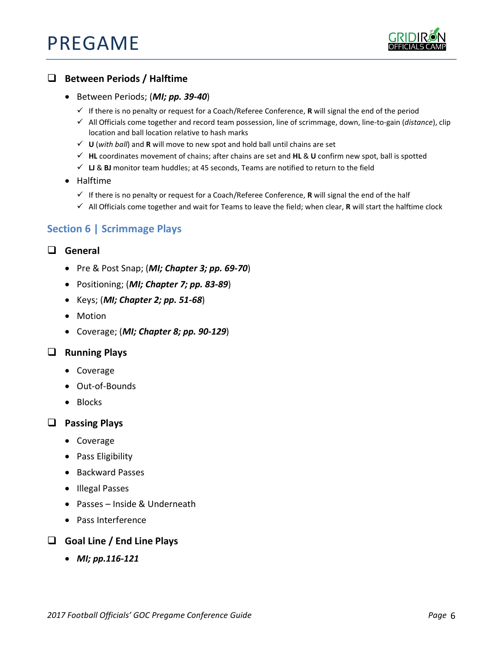

# **Between Periods / Halftime**

- Between Periods; (*MI; pp. 39-40*)
	- ✓ If there is no penalty or request for a Coach/Referee Conference, **R** will signal the end of the period
	- ✓ All Officials come together and record team possession, line of scrimmage, down, line-to-gain (*distance*), clip location and ball location relative to hash marks
	- ✓ **U** (*with ball*) and **R** will move to new spot and hold ball until chains are set
	- ✓ **HL** coordinates movement of chains; after chains are set and **HL** & **U** confirm new spot, ball is spotted
	- ✓ **LJ** & **BJ** monitor team huddles; at 45 seconds, Teams are notified to return to the field
- Halftime
	- ✓ If there is no penalty or request for a Coach/Referee Conference, **R** will signal the end of the half
	- ✓ All Officials come together and wait for Teams to leave the field; when clear, **R** will start the halftime clock

# **Section 6 | Scrimmage Plays**

## **General**

- Pre & Post Snap; (*MI; Chapter 3; pp. 69-70*)
- Positioning; (*MI; Chapter 7; pp. 83-89*)
- Keys; (*MI; Chapter 2; pp. 51-68*)
- Motion
- Coverage; (*MI; Chapter 8; pp. 90-129*)

#### **Running Plays**

- Coverage
- Out-of-Bounds
- Blocks

#### **Passing Plays**

- Coverage
- Pass Eligibility
- Backward Passes
- Illegal Passes
- Passes Inside & Underneath
- Pass Interference

#### **Goal Line / End Line Plays**

• *MI; pp.116-121*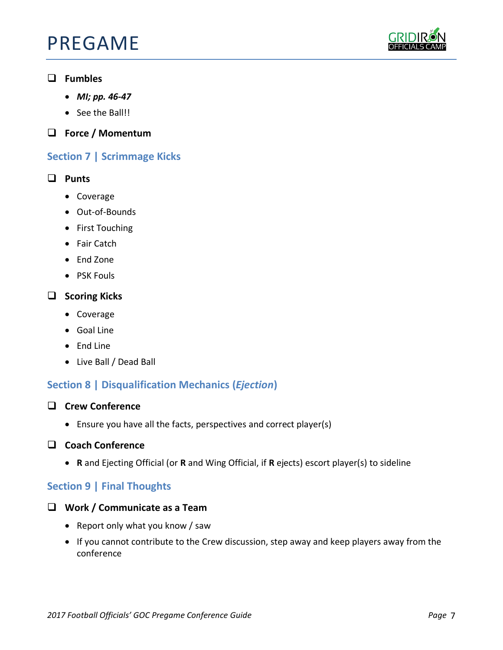# PREGAME



# **Fumbles**

- *MI; pp. 46-47*
- See the Ball!!
- **Force / Momentum**

# **Section 7 | Scrimmage Kicks**

# **Punts**

- Coverage
- Out-of-Bounds
- First Touching
- Fair Catch
- End Zone
- PSK Fouls

# **Scoring Kicks**

- Coverage
- Goal Line
- End Line
- Live Ball / Dead Ball

# **Section 8 | Disqualification Mechanics (***Ejection***)**

- **Crew Conference**
	- Ensure you have all the facts, perspectives and correct player(s)

# **Coach Conference**

• **R** and Ejecting Official (or **R** and Wing Official, if **R** ejects) escort player(s) to sideline

# **Section 9 | Final Thoughts**

- **Work / Communicate as a Team**
	- Report only what you know / saw
	- If you cannot contribute to the Crew discussion, step away and keep players away from the conference